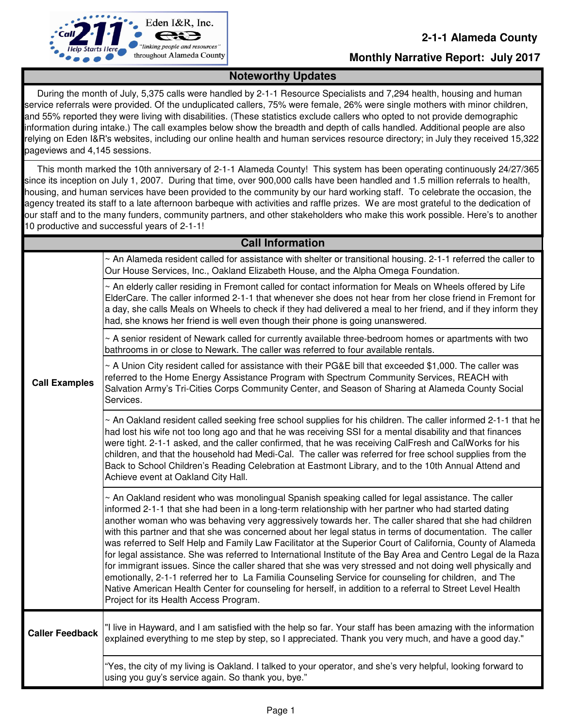

### **Monthly Narrative Report: July 2017**

### **Noteworthy Updates**

 During the month of July, 5,375 calls were handled by 2-1-1 Resource Specialists and 7,294 health, housing and human service referrals were provided. Of the unduplicated callers, 75% were female, 26% were single mothers with minor children, and 55% reported they were living with disabilities. (These statistics exclude callers who opted to not provide demographic information during intake.) The call examples below show the breadth and depth of calls handled. Additional people are also relying on Eden I&R's websites, including our online health and human services resource directory; in July they received 15,322 pageviews and 4,145 sessions.

 This month marked the 10th anniversary of 2-1-1 Alameda County! This system has been operating continuously 24/27/365 since its inception on July 1, 2007. During that time, over 900,000 calls have been handled and 1.5 million referrals to health, housing, and human services have been provided to the community by our hard working staff. To celebrate the occasion, the agency treated its staff to a late afternoon barbeque with activities and raffle prizes. We are most grateful to the dedication of our staff and to the many funders, community partners, and other stakeholders who make this work possible. Here's to another 10 productive and successful years of 2-1-1!

| <b>Call Information</b> |                                                                                                                                                                                                                                                                                                                                                                                                                                                                                                                                                                                                                                                                                                                                                                                                                                                                                                                                                                                                                                                      |  |
|-------------------------|------------------------------------------------------------------------------------------------------------------------------------------------------------------------------------------------------------------------------------------------------------------------------------------------------------------------------------------------------------------------------------------------------------------------------------------------------------------------------------------------------------------------------------------------------------------------------------------------------------------------------------------------------------------------------------------------------------------------------------------------------------------------------------------------------------------------------------------------------------------------------------------------------------------------------------------------------------------------------------------------------------------------------------------------------|--|
|                         | $\sim$ An Alameda resident called for assistance with shelter or transitional housing. 2-1-1 referred the caller to<br>Our House Services, Inc., Oakland Elizabeth House, and the Alpha Omega Foundation.                                                                                                                                                                                                                                                                                                                                                                                                                                                                                                                                                                                                                                                                                                                                                                                                                                            |  |
|                         | An elderly caller residing in Fremont called for contact information for Meals on Wheels offered by Life<br>ElderCare. The caller informed 2-1-1 that whenever she does not hear from her close friend in Fremont for<br>a day, she calls Meals on Wheels to check if they had delivered a meal to her friend, and if they inform they<br>had, she knows her friend is well even though their phone is going unanswered.                                                                                                                                                                                                                                                                                                                                                                                                                                                                                                                                                                                                                             |  |
|                         | ~ A senior resident of Newark called for currently available three-bedroom homes or apartments with two<br>bathrooms in or close to Newark. The caller was referred to four available rentals.                                                                                                                                                                                                                                                                                                                                                                                                                                                                                                                                                                                                                                                                                                                                                                                                                                                       |  |
| <b>Call Examples</b>    | $\sim$ A Union City resident called for assistance with their PG&E bill that exceeded \$1,000. The caller was<br>referred to the Home Energy Assistance Program with Spectrum Community Services, REACH with<br>Salvation Army's Tri-Cities Corps Community Center, and Season of Sharing at Alameda County Social<br>Services.                                                                                                                                                                                                                                                                                                                                                                                                                                                                                                                                                                                                                                                                                                                      |  |
|                         | ~ An Oakland resident called seeking free school supplies for his children. The caller informed 2-1-1 that he<br>had lost his wife not too long ago and that he was receiving SSI for a mental disability and that finances<br>were tight. 2-1-1 asked, and the caller confirmed, that he was receiving CalFresh and CalWorks for his<br>children, and that the household had Medi-Cal. The caller was referred for free school supplies from the<br>Back to School Children's Reading Celebration at Eastmont Library, and to the 10th Annual Attend and<br>Achieve event at Oakland City Hall.                                                                                                                                                                                                                                                                                                                                                                                                                                                     |  |
|                         | $\sim$ An Oakland resident who was monolingual Spanish speaking called for legal assistance. The caller<br>informed 2-1-1 that she had been in a long-term relationship with her partner who had started dating<br>another woman who was behaving very aggressively towards her. The caller shared that she had children<br>with this partner and that she was concerned about her legal status in terms of documentation. The caller<br>was referred to Self Help and Family Law Facilitator at the Superior Court of California, County of Alameda<br>for legal assistance. She was referred to International Institute of the Bay Area and Centro Legal de la Raza<br>for immigrant issues. Since the caller shared that she was very stressed and not doing well physically and<br>emotionally, 2-1-1 referred her to La Familia Counseling Service for counseling for children, and The<br>Native American Health Center for counseling for herself, in addition to a referral to Street Level Health<br>Project for its Health Access Program. |  |
| <b>Caller Feedback</b>  | "I live in Hayward, and I am satisfied with the help so far. Your staff has been amazing with the information<br>explained everything to me step by step, so I appreciated. Thank you very much, and have a good day."                                                                                                                                                                                                                                                                                                                                                                                                                                                                                                                                                                                                                                                                                                                                                                                                                               |  |
|                         | "Yes, the city of my living is Oakland. I talked to your operator, and she's very helpful, looking forward to<br>using you guy's service again. So thank you, bye."                                                                                                                                                                                                                                                                                                                                                                                                                                                                                                                                                                                                                                                                                                                                                                                                                                                                                  |  |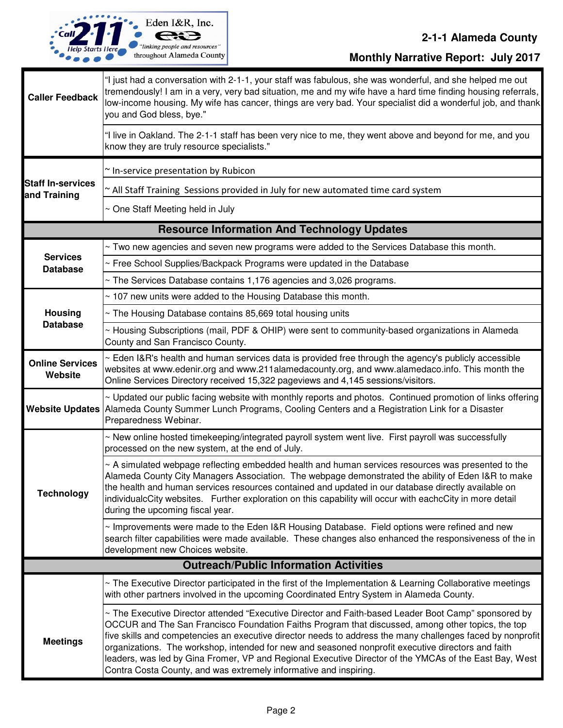

# **2-1-1 Alameda County**

**Monthly Narrative Report: July 2017**

| <b>Caller Feedback</b>                             | "I just had a conversation with 2-1-1, your staff was fabulous, she was wonderful, and she helped me out<br>tremendously! I am in a very, very bad situation, me and my wife have a hard time finding housing referrals,<br>low-income housing. My wife has cancer, things are very bad. Your specialist did a wonderful job, and thank<br>you and God bless, bye."                                                                                                                                                                                                                                          |  |
|----------------------------------------------------|--------------------------------------------------------------------------------------------------------------------------------------------------------------------------------------------------------------------------------------------------------------------------------------------------------------------------------------------------------------------------------------------------------------------------------------------------------------------------------------------------------------------------------------------------------------------------------------------------------------|--|
|                                                    | "I live in Oakland. The 2-1-1 staff has been very nice to me, they went above and beyond for me, and you<br>know they are truly resource specialists."                                                                                                                                                                                                                                                                                                                                                                                                                                                       |  |
| <b>Staff In-services</b><br>and Training           | ~ In-service presentation by Rubicon                                                                                                                                                                                                                                                                                                                                                                                                                                                                                                                                                                         |  |
|                                                    | All Staff Training Sessions provided in July for new automated time card system                                                                                                                                                                                                                                                                                                                                                                                                                                                                                                                              |  |
|                                                    | ~ One Staff Meeting held in July                                                                                                                                                                                                                                                                                                                                                                                                                                                                                                                                                                             |  |
| <b>Resource Information And Technology Updates</b> |                                                                                                                                                                                                                                                                                                                                                                                                                                                                                                                                                                                                              |  |
| <b>Services</b><br><b>Database</b>                 | ~ Two new agencies and seven new programs were added to the Services Database this month.                                                                                                                                                                                                                                                                                                                                                                                                                                                                                                                    |  |
|                                                    | ~ Free School Supplies/Backpack Programs were updated in the Database                                                                                                                                                                                                                                                                                                                                                                                                                                                                                                                                        |  |
|                                                    | ~ The Services Database contains 1,176 agencies and 3,026 programs.                                                                                                                                                                                                                                                                                                                                                                                                                                                                                                                                          |  |
|                                                    | ~ 107 new units were added to the Housing Database this month.                                                                                                                                                                                                                                                                                                                                                                                                                                                                                                                                               |  |
| <b>Housing</b>                                     | ~ The Housing Database contains 85,669 total housing units                                                                                                                                                                                                                                                                                                                                                                                                                                                                                                                                                   |  |
| <b>Database</b>                                    | ~ Housing Subscriptions (mail, PDF & OHIP) were sent to community-based organizations in Alameda<br>County and San Francisco County.                                                                                                                                                                                                                                                                                                                                                                                                                                                                         |  |
| <b>Online Services</b><br>Website                  | ~ Eden I&R's health and human services data is provided free through the agency's publicly accessible<br>websites at www.edenir.org and www.211alamedacounty.org, and www.alamedaco.info. This month the<br>Online Services Directory received 15,322 pageviews and 4,145 sessions/visitors.                                                                                                                                                                                                                                                                                                                 |  |
| <b>Website Updates</b>                             | ~ Updated our public facing website with monthly reports and photos. Continued promotion of links offering<br>Alameda County Summer Lunch Programs, Cooling Centers and a Registration Link for a Disaster<br>Preparedness Webinar.                                                                                                                                                                                                                                                                                                                                                                          |  |
| <b>Technology</b>                                  | ~ New online hosted timekeeping/integrated payroll system went live. First payroll was successfully<br>processed on the new system, at the end of July.                                                                                                                                                                                                                                                                                                                                                                                                                                                      |  |
|                                                    | ~ A simulated webpage reflecting embedded health and human services resources was presented to the<br>Alameda County City Managers Association. The webpage demonstrated the ability of Eden I&R to make<br>the health and human services resources contained and updated in our database directly available on<br>individualcCity websites. Further exploration on this capability will occur with eachcCity in more detail<br>during the upcoming fiscal year.                                                                                                                                             |  |
|                                                    | ~ Improvements were made to the Eden I&R Housing Database. Field options were refined and new<br>search filter capabilities were made available. These changes also enhanced the responsiveness of the in<br>development new Choices website.                                                                                                                                                                                                                                                                                                                                                                |  |
|                                                    | <b>Outreach/Public Information Activities</b>                                                                                                                                                                                                                                                                                                                                                                                                                                                                                                                                                                |  |
|                                                    | $\sim$ The Executive Director participated in the first of the Implementation & Learning Collaborative meetings<br>with other partners involved in the upcoming Coordinated Entry System in Alameda County.                                                                                                                                                                                                                                                                                                                                                                                                  |  |
| <b>Meetings</b>                                    | ~ The Executive Director attended "Executive Director and Faith-based Leader Boot Camp" sponsored by<br>OCCUR and The San Francisco Foundation Faiths Program that discussed, among other topics, the top<br>five skills and competencies an executive director needs to address the many challenges faced by nonprofit<br>organizations. The workshop, intended for new and seasoned nonprofit executive directors and faith<br>leaders, was led by Gina Fromer, VP and Regional Executive Director of the YMCAs of the East Bay, West<br>Contra Costa County, and was extremely informative and inspiring. |  |